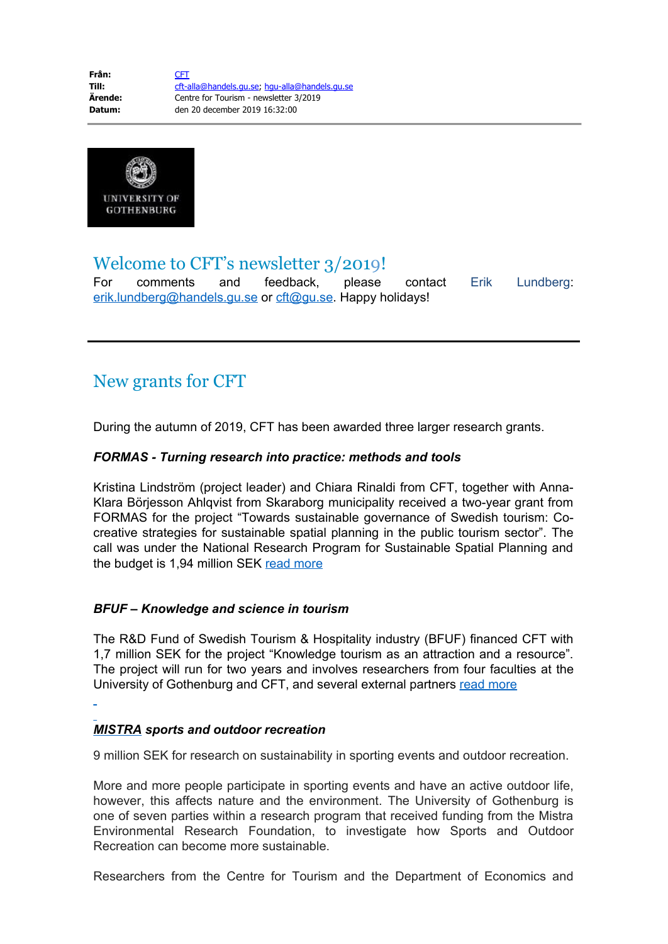

### Welcome to CFT's newsletter 3/2019!

For comments and feedback, please contact Erik Lundberg: [erik.lundberg@handels.gu.se](mailto:erik.lundberg@handels.gu.se) or [cft@gu.se](mailto:cft@gu.se). Happy holidays!

# New grants for CFT

During the autumn of 2019, CFT has been awarded three larger research grants.

#### *FORMAS - Turning research into practice: methods and tools*

Kristina Lindström (project leader) and Chiara Rinaldi from CFT, together with Anna-Klara Börjesson Ahlqvist from Skaraborg municipality received a two-year grant from FORMAS for the project "Towards sustainable governance of Swedish tourism: Cocreative strategies for sustainable spatial planning in the public tourism sector". The call was under the National Research Program for Sustainable Spatial Planning and the budget is 1,94 million SEK [read more](https://cft.handels.gu.se/english/news-and-events/news/d/new-project-on-the-role-of-tourism-in-sustainable-spatial-planning.cid1647675)

#### *BFUF – Knowledge and science in tourism*

The R&D Fund of Swedish Tourism & Hospitality industry (BFUF) financed CFT with 1,7 million SEK for the project "Knowledge tourism as an attraction and a resource". The project will run for two years and involves researchers from four faculties at the University of Gothenburg and CFT, and several external partners [read more](https://cft.handels.gu.se/english/news-and-events/news/d/new-project-on-knowledge-and-science-tourism--financed-by-bfuf.cid1645769)

#### *MISTRA sports and outdoor recreation*

9 million SEK for research on sustainability in sporting events and outdoor recreation.

More and more people participate in sporting events and have an active outdoor life, however, this affects nature and the environment. The University of Gothenburg is one of seven parties within a research program that received funding from the Mistra Environmental Research Foundation, to investigate how Sports and Outdoor Recreation can become more sustainable.

Researchers from the Centre for Tourism and the Department of Economics and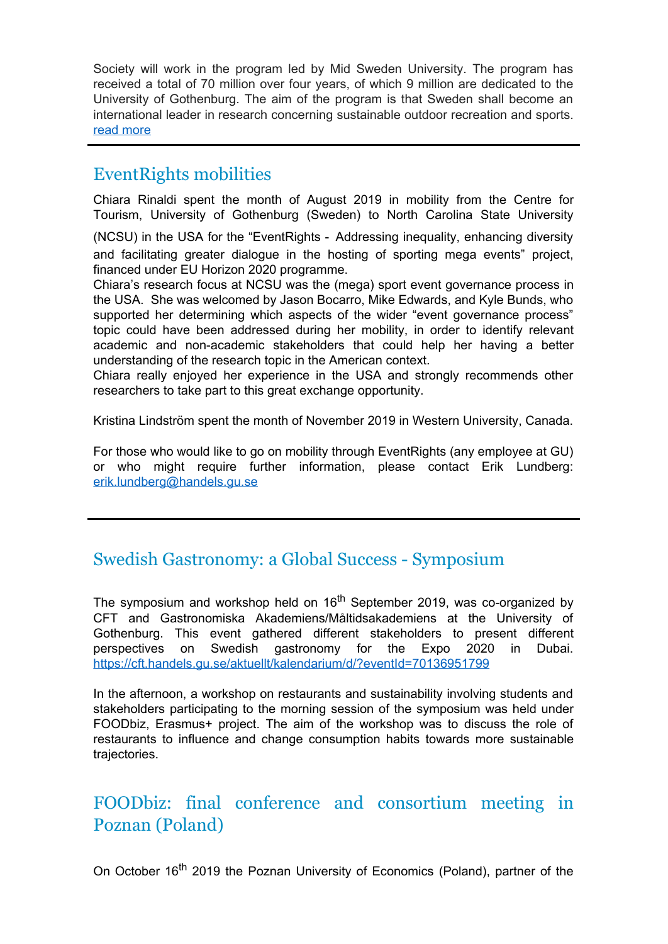Society will work in the program led by Mid Sweden University. The program has received a total of 70 million over four years, of which 9 million are dedicated to the University of Gothenburg. The aim of the program is that Sweden shall become an international leader in research concerning sustainable outdoor recreation and sports. [read more](https://cft.handels.gu.se/english/news-and-events/news/d/9-million-sek-for-research-on-sustainability-in-sporting-events-and-outdoor-recreation..cid1653978)

## EventRights mobilities

Chiara Rinaldi spent the month of August 2019 in mobility from the Centre for Tourism, University of Gothenburg (Sweden) to North Carolina State University

(NCSU) in the USA for the "EventRights - Addressing inequality, enhancing diversity and facilitating greater dialogue in the hosting of sporting mega events" project, financed under EU Horizon 2020 programme.

Chiara's research focus at NCSU was the (mega) sport event governance process in the USA. She was welcomed by Jason Bocarro, Mike Edwards, and Kyle Bunds, who supported her determining which aspects of the wider "event governance process" topic could have been addressed during her mobility, in order to identify relevant academic and non-academic stakeholders that could help her having a better understanding of the research topic in the American context.

Chiara really enjoyed her experience in the USA and strongly recommends other researchers to take part to this great exchange opportunity.

Kristina Lindström spent the month of November 2019 in Western University, Canada.

For those who would like to go on mobility through EventRights (any employee at GU) or who might require further information, please contact Erik Lundberg: [erik.lundberg@handels.gu.se](mailto:erik.lundberg@handels.gu.se)

# Swedish Gastronomy: a Global Success - Symposium

The symposium and workshop held on  $16<sup>th</sup>$  September 2019, was co-organized by CFT and Gastronomiska Akademiens/Måltidsakademiens at the University of Gothenburg. This event gathered different stakeholders to present different perspectives on Swedish gastronomy for the Expo 2020 in Dubai. <https://cft.handels.gu.se/aktuellt/kalendarium/d/?eventId=70136951799>

In the afternoon, a workshop on restaurants and sustainability involving students and stakeholders participating to the morning session of the symposium was held under FOODbiz, Erasmus+ project. The aim of the workshop was to discuss the role of restaurants to influence and change consumption habits towards more sustainable trajectories.

# FOODbiz: final conference and consortium meeting in Poznan (Poland)

On October 16<sup>th</sup> 2019 the Poznan University of Economics (Poland), partner of the